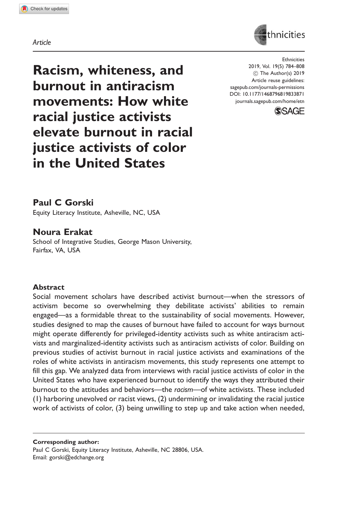Article

hnicities

Racism, whiteness, and burnout in antiracism movements: How white racial justice activists elevate burnout in racial justice activists of color in the United States

**Ethnicities** 2019, Vol. 19(5) 784–808  $\circ$  The Author(s) 2019 Article reuse guidelines: [sagepub.com/journals-permissions](http://uk.sagepub.com/en-gb/journals-permissions) [DOI: 10.1177/1468796819833871](http://dx.doi.org/10.1177/1468796819833871) <journals.sagepub.com/home/etn>



## Paul C Gorski

Equity Literacy Institute, Asheville, NC, USA

## Noura Erakat

School of Integrative Studies, George Mason University, Fairfax, VA, USA

### **Abstract**

Social movement scholars have described activist burnout—when the stressors of activism become so overwhelming they debilitate activists' abilities to remain engaged—as a formidable threat to the sustainability of social movements. However, studies designed to map the causes of burnout have failed to account for ways burnout might operate differently for privileged-identity activists such as white antiracism activists and marginalized-identity activists such as antiracism activists of color. Building on previous studies of activist burnout in racial justice activists and examinations of the roles of white activists in antiracism movements, this study represents one attempt to fill this gap. We analyzed data from interviews with racial justice activists of color in the United States who have experienced burnout to identify the ways they attributed their burnout to the attitudes and behaviors—the racism—of white activists. These included (1) harboring unevolved or racist views, (2) undermining or invalidating the racial justice work of activists of color, (3) being unwilling to step up and take action when needed,

Corresponding author: Paul C Gorski, Equity Literacy Institute, Asheville, NC 28806, USA. Email: [gorski@edchange.org](mailto:gorski@edchange.org)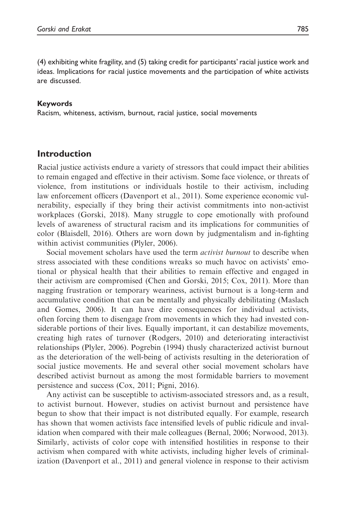(4) exhibiting white fragility, and (5) taking credit for participants' racial justice work and ideas. Implications for racial justice movements and the participation of white activists are discussed.

#### Keywords

Racism, whiteness, activism, burnout, racial justice, social movements

### Introduction

Racial justice activists endure a variety of stressors that could impact their abilities to remain engaged and effective in their activism. Some face violence, or threats of violence, from institutions or individuals hostile to their activism, including law enforcement officers (Davenport et al., 2011). Some experience economic vulnerability, especially if they bring their activist commitments into non-activist workplaces (Gorski, 2018). Many struggle to cope emotionally with profound levels of awareness of structural racism and its implications for communities of color (Blaisdell, 2016). Others are worn down by judgmentalism and in-fighting within activist communities (Plyler, 2006).

Social movement scholars have used the term activist burnout to describe when stress associated with these conditions wreaks so much havoc on activists' emotional or physical health that their abilities to remain effective and engaged in their activism are compromised (Chen and Gorski, 2015; Cox, 2011). More than nagging frustration or temporary weariness, activist burnout is a long-term and accumulative condition that can be mentally and physically debilitating (Maslach and Gomes, 2006). It can have dire consequences for individual activists, often forcing them to disengage from movements in which they had invested considerable portions of their lives. Equally important, it can destabilize movements, creating high rates of turnover (Rodgers, 2010) and deteriorating interactivist relationships (Plyler, 2006). Pogrebin (1994) thusly characterized activist burnout as the deterioration of the well-being of activists resulting in the deterioration of social justice movements. He and several other social movement scholars have described activist burnout as among the most formidable barriers to movement persistence and success (Cox, 2011; Pigni, 2016).

Any activist can be susceptible to activism-associated stressors and, as a result, to activist burnout. However, studies on activist burnout and persistence have begun to show that their impact is not distributed equally. For example, research has shown that women activists face intensified levels of public ridicule and invalidation when compared with their male colleagues (Bernal, 2006; Norwood, 2013). Similarly, activists of color cope with intensified hostilities in response to their activism when compared with white activists, including higher levels of criminalization (Davenport et al., 2011) and general violence in response to their activism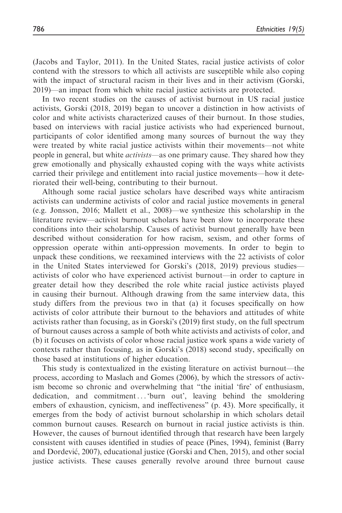(Jacobs and Taylor, 2011). In the United States, racial justice activists of color contend with the stressors to which all activists are susceptible while also coping with the impact of structural racism in their lives and in their activism (Gorski, 2019)—an impact from which white racial justice activists are protected.

In two recent studies on the causes of activist burnout in US racial justice activists, Gorski (2018, 2019) began to uncover a distinction in how activists of color and white activists characterized causes of their burnout. In those studies, based on interviews with racial justice activists who had experienced burnout, participants of color identified among many sources of burnout the way they were treated by white racial justice activists within their movements—not white people in general, but white *activists*—as one primary cause. They shared how they grew emotionally and physically exhausted coping with the ways white activists carried their privilege and entitlement into racial justice movements—how it deteriorated their well-being, contributing to their burnout.

Although some racial justice scholars have described ways white antiracism activists can undermine activists of color and racial justice movements in general (e.g. Jonsson, 2016; Mallett et al., 2008)—we synthesize this scholarship in the literature review—activist burnout scholars have been slow to incorporate these conditions into their scholarship. Causes of activist burnout generally have been described without consideration for how racism, sexism, and other forms of oppression operate within anti-oppression movements. In order to begin to unpack these conditions, we reexamined interviews with the 22 activists of color in the United States interviewed for Gorski's (2018, 2019) previous studies activists of color who have experienced activist burnout—in order to capture in greater detail how they described the role white racial justice activists played in causing their burnout. Although drawing from the same interview data, this study differs from the previous two in that (a) it focuses specifically on how activists of color attribute their burnout to the behaviors and attitudes of white activists rather than focusing, as in Gorski's (2019) first study, on the full spectrum of burnout causes across a sample of both white activists and activists of color, and (b) it focuses on activists of color whose racial justice work spans a wide variety of contexts rather than focusing, as in Gorski's (2018) second study, specifically on those based at institutions of higher education.

This study is contextualized in the existing literature on activist burnout—the process, according to Maslach and Gomes (2006), by which the stressors of activism become so chronic and overwhelming that "the initial 'fire' of enthusiasm, dedication, and commitment... 'burn out', leaving behind the smoldering embers of exhaustion, cynicism, and ineffectiveness" (p. 43). More specifically, it emerges from the body of activist burnout scholarship in which scholars detail common burnout causes. Research on burnout in racial justice activists is thin. However, the causes of burnout identified through that research have been largely consistent with causes identified in studies of peace (Pines, 1994), feminist (Barry and Dordević, 2007), educational justice (Gorski and Chen, 2015), and other social justice activists. These causes generally revolve around three burnout cause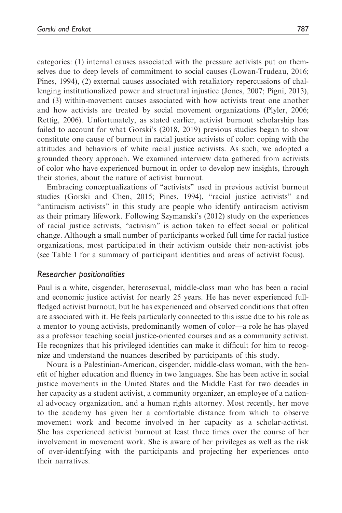categories: (1) internal causes associated with the pressure activists put on themselves due to deep levels of commitment to social causes (Lowan-Trudeau, 2016; Pines, 1994), (2) external causes associated with retaliatory repercussions of challenging institutionalized power and structural injustice (Jones, 2007; Pigni, 2013), and (3) within-movement causes associated with how activists treat one another and how activists are treated by social movement organizations (Plyler, 2006; Rettig, 2006). Unfortunately, as stated earlier, activist burnout scholarship has failed to account for what Gorski's (2018, 2019) previous studies began to show constitute one cause of burnout in racial justice activists of color: coping with the attitudes and behaviors of white racial justice activists. As such, we adopted a grounded theory approach. We examined interview data gathered from activists of color who have experienced burnout in order to develop new insights, through their stories, about the nature of activist burnout.

Embracing conceptualizations of "activists" used in previous activist burnout studies (Gorski and Chen, 2015; Pines, 1994), "racial justice activists" and "antiracism activists" in this study are people who identify antiracism activism as their primary lifework. Following Szymanski's (2012) study on the experiences of racial justice activists, "activism" is action taken to effect social or political change. Although a small number of participants worked full time for racial justice organizations, most participated in their activism outside their non-activist jobs (see Table 1 for a summary of participant identities and areas of activist focus).

### Researcher positionalities

Paul is a white, cisgender, heterosexual, middle-class man who has been a racial and economic justice activist for nearly 25 years. He has never experienced fullfledged activist burnout, but he has experienced and observed conditions that often are associated with it. He feels particularly connected to this issue due to his role as a mentor to young activists, predominantly women of color—a role he has played as a professor teaching social justice-oriented courses and as a community activist. He recognizes that his privileged identities can make it difficult for him to recognize and understand the nuances described by participants of this study.

Noura is a Palestinian-American, cisgender, middle-class woman, with the benefit of higher education and fluency in two languages. She has been active in social justice movements in the United States and the Middle East for two decades in her capacity as a student activist, a community organizer, an employee of a national advocacy organization, and a human rights attorney. Most recently, her move to the academy has given her a comfortable distance from which to observe movement work and become involved in her capacity as a scholar-activist. She has experienced activist burnout at least three times over the course of her involvement in movement work. She is aware of her privileges as well as the risk of over-identifying with the participants and projecting her experiences onto their narratives.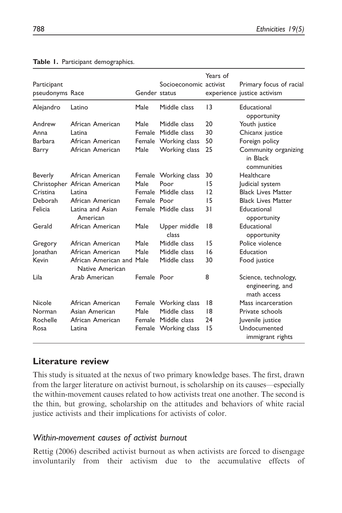| Participant<br>pseudonyms Race |                                              | Gender status | Socioeconomic activist | Years of | Primary focus of racial<br>experience justice activism  |
|--------------------------------|----------------------------------------------|---------------|------------------------|----------|---------------------------------------------------------|
| Alejandro                      | Latino                                       | Male          | Middle class           | 13       | Educational<br>opportunity                              |
| Andrew                         | African American                             | Male          | Middle class           | 20       | Youth justice                                           |
| Anna                           | Latina                                       |               | Female Middle class    | 30       | Chicanx justice                                         |
| Barbara                        | African American                             |               | Female Working class   | 50       | Foreign policy                                          |
| Barry                          | African American                             | Male          | Working class          | 25       | Community organizing<br>in Black<br>communities         |
| <b>Beverly</b>                 | African American                             |               | Female Working class   | 30       | Healthcare                                              |
|                                | Christopher African American                 | Male          | Poor                   | 15       | Judicial system                                         |
| Cristina                       | Latina                                       |               | Female Middle class    | 12       | <b>Black Lives Matter</b>                               |
| Deborah                        | African American                             | Female Poor   |                        | 15       | <b>Black Lives Matter</b>                               |
| Felicia                        | Latina and Asian<br>American                 |               | Female Middle class    | 31       | Educational<br>opportunity                              |
| Gerald                         | African American                             | Male          | Upper middle<br>class  | 18       | Educational<br>opportunity                              |
| Gregory                        | African American                             | Male          | Middle class           | 15       | Police violence                                         |
| Jonathan                       | African American                             | Male          | Middle class           | 16       | Education                                               |
| Kevin                          | African American and Male<br>Native American |               | Middle class           | 30       | Food justice                                            |
| Lila                           | Arab American                                | Female Poor   |                        | 8        | Science, technology,<br>engineering, and<br>math access |
| Nicole                         | African American                             |               | Female Working class   | 18       | Mass incarceration                                      |
| Norman                         | Asian American                               | Male          | Middle class           | 18       | Private schools                                         |
| Rochelle                       | African American                             |               | Female Middle class    | 24       | Juvenile justice                                        |
| Rosa                           | Latina                                       |               | Female Working class   | 15       | Undocumented<br>immigrant rights                        |

#### Table 1. Participant demographics.

## Literature review

This study is situated at the nexus of two primary knowledge bases. The first, drawn from the larger literature on activist burnout, is scholarship on its causes—especially the within-movement causes related to how activists treat one another. The second is the thin, but growing, scholarship on the attitudes and behaviors of white racial justice activists and their implications for activists of color.

### Within-movement causes of activist burnout

Rettig (2006) described activist burnout as when activists are forced to disengage involuntarily from their activism due to the accumulative effects of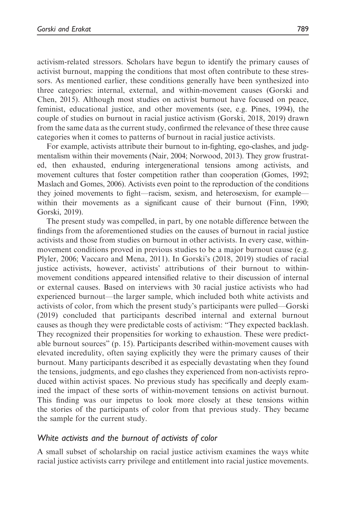activism-related stressors. Scholars have begun to identify the primary causes of activist burnout, mapping the conditions that most often contribute to these stressors. As mentioned earlier, these conditions generally have been synthesized into three categories: internal, external, and within-movement causes (Gorski and Chen, 2015). Although most studies on activist burnout have focused on peace, feminist, educational justice, and other movements (see, e.g. Pines, 1994), the couple of studies on burnout in racial justice activism (Gorski, 2018, 2019) drawn from the same data as the current study, confirmed the relevance of these three cause categories when it comes to patterns of burnout in racial justice activists.

For example, activists attribute their burnout to in-fighting, ego-clashes, and judgmentalism within their movements (Nair, 2004; Norwood, 2013). They grow frustrated, then exhausted, enduring intergenerational tensions among activists, and movement cultures that foster competition rather than cooperation (Gomes, 1992; Maslach and Gomes, 2006). Activists even point to the reproduction of the conditions they joined movements to fight—racism, sexism, and heterosexism, for example within their movements as a significant cause of their burnout (Finn, 1990; Gorski, 2019).

The present study was compelled, in part, by one notable difference between the findings from the aforementioned studies on the causes of burnout in racial justice activists and those from studies on burnout in other activists. In every case, withinmovement conditions proved in previous studies to be a major burnout cause (e.g. Plyler, 2006; Vaccaro and Mena, 2011). In Gorski's (2018, 2019) studies of racial justice activists, however, activists' attributions of their burnout to withinmovement conditions appeared intensified relative to their discussion of internal or external causes. Based on interviews with 30 racial justice activists who had experienced burnout—the larger sample, which included both white activists and activists of color, from which the present study's participants were pulled—Gorski (2019) concluded that participants described internal and external burnout causes as though they were predictable costs of activism: "They expected backlash. They recognized their propensities for working to exhaustion. These were predictable burnout sources" (p. 15). Participants described within-movement causes with elevated incredulity, often saying explicitly they were the primary causes of their burnout. Many participants described it as especially devastating when they found the tensions, judgments, and ego clashes they experienced from non-activists reproduced within activist spaces. No previous study has specifically and deeply examined the impact of these sorts of within-movement tensions on activist burnout. This finding was our impetus to look more closely at these tensions within the stories of the participants of color from that previous study. They became the sample for the current study.

## White activists and the burnout of activists of color

A small subset of scholarship on racial justice activism examines the ways white racial justice activists carry privilege and entitlement into racial justice movements.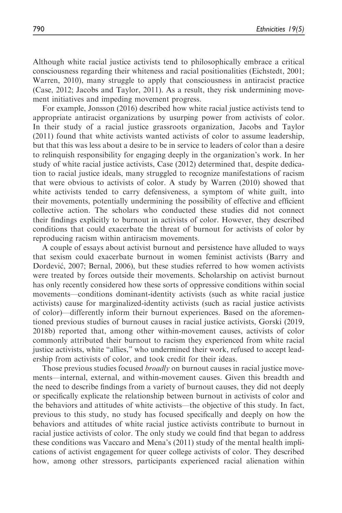Although white racial justice activists tend to philosophically embrace a critical consciousness regarding their whiteness and racial positionalities (Eichstedt, 2001; Warren, 2010), many struggle to apply that consciousness in antiracist practice (Case, 2012; Jacobs and Taylor, 2011). As a result, they risk undermining movement initiatives and impeding movement progress.

For example, Jonsson (2016) described how white racial justice activists tend to appropriate antiracist organizations by usurping power from activists of color. In their study of a racial justice grassroots organization, Jacobs and Taylor (2011) found that white activists wanted activists of color to assume leadership, but that this was less about a desire to be in service to leaders of color than a desire to relinquish responsibility for engaging deeply in the organization's work. In her study of white racial justice activists, Case (2012) determined that, despite dedication to racial justice ideals, many struggled to recognize manifestations of racism that were obvious to activists of color. A study by Warren (2010) showed that white activists tended to carry defensiveness, a symptom of white guilt, into their movements, potentially undermining the possibility of effective and efficient collective action. The scholars who conducted these studies did not connect their findings explicitly to burnout in activists of color. However, they described conditions that could exacerbate the threat of burnout for activists of color by reproducing racism within antiracism movements.

A couple of essays about activist burnout and persistence have alluded to ways that sexism could exacerbate burnout in women feminist activists (Barry and Dordević, 2007; Bernal, 2006), but these studies referred to how women activists were treated by forces outside their movements. Scholarship on activist burnout has only recently considered how these sorts of oppressive conditions within social movements—conditions dominant-identity activists (such as white racial justice activists) cause for marginalized-identity activists (such as racial justice activists of color)—differently inform their burnout experiences. Based on the aforementioned previous studies of burnout causes in racial justice activists, Gorski (2019, 2018b) reported that, among other within-movement causes, activists of color commonly attributed their burnout to racism they experienced from white racial justice activists, white "allies," who undermined their work, refused to accept leadership from activists of color, and took credit for their ideas.

Those previous studies focused *broadly* on burnout causes in racial justice movements—internal, external, and within-movement causes. Given this breadth and the need to describe findings from a variety of burnout causes, they did not deeply or specifically explicate the relationship between burnout in activists of color and the behaviors and attitudes of white activists—the objective of this study. In fact, previous to this study, no study has focused specifically and deeply on how the behaviors and attitudes of white racial justice activists contribute to burnout in racial justice activists of color. The only study we could find that began to address these conditions was Vaccaro and Mena's (2011) study of the mental health implications of activist engagement for queer college activists of color. They described how, among other stressors, participants experienced racial alienation within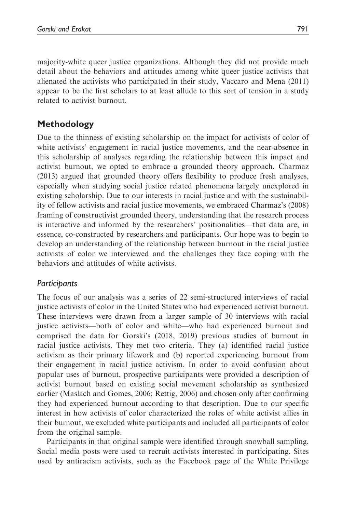majority-white queer justice organizations. Although they did not provide much detail about the behaviors and attitudes among white queer justice activists that alienated the activists who participated in their study, Vaccaro and Mena (2011) appear to be the first scholars to at least allude to this sort of tension in a study related to activist burnout.

# Methodology

Due to the thinness of existing scholarship on the impact for activists of color of white activists' engagement in racial justice movements, and the near-absence in this scholarship of analyses regarding the relationship between this impact and activist burnout, we opted to embrace a grounded theory approach. Charmaz (2013) argued that grounded theory offers flexibility to produce fresh analyses, especially when studying social justice related phenomena largely unexplored in existing scholarship. Due to our interests in racial justice and with the sustainability of fellow activists and racial justice movements, we embraced Charmaz's (2008) framing of constructivist grounded theory, understanding that the research process is interactive and informed by the researchers' positionalities—that data are, in essence, co-constructed by researchers and participants. Our hope was to begin to develop an understanding of the relationship between burnout in the racial justice activists of color we interviewed and the challenges they face coping with the behaviors and attitudes of white activists.

## **Participants**

The focus of our analysis was a series of 22 semi-structured interviews of racial justice activists of color in the United States who had experienced activist burnout. These interviews were drawn from a larger sample of 30 interviews with racial justice activists—both of color and white—who had experienced burnout and comprised the data for Gorski's (2018, 2019) previous studies of burnout in racial justice activists. They met two criteria. They (a) identified racial justice activism as their primary lifework and (b) reported experiencing burnout from their engagement in racial justice activism. In order to avoid confusion about popular uses of burnout, prospective participants were provided a description of activist burnout based on existing social movement scholarship as synthesized earlier (Maslach and Gomes, 2006; Rettig, 2006) and chosen only after confirming they had experienced burnout according to that description. Due to our specific interest in how activists of color characterized the roles of white activist allies in their burnout, we excluded white participants and included all participants of color from the original sample.

Participants in that original sample were identified through snowball sampling. Social media posts were used to recruit activists interested in participating. Sites used by antiracism activists, such as the Facebook page of the White Privilege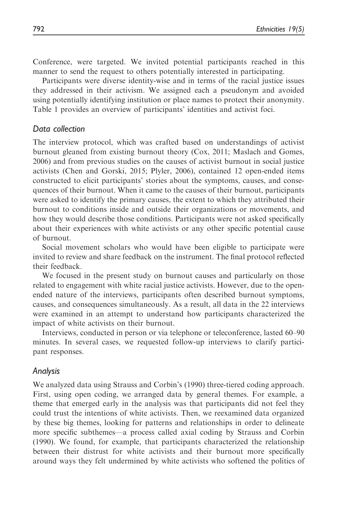Conference, were targeted. We invited potential participants reached in this manner to send the request to others potentially interested in participating.

Participants were diverse identity-wise and in terms of the racial justice issues they addressed in their activism. We assigned each a pseudonym and avoided using potentially identifying institution or place names to protect their anonymity. Table 1 provides an overview of participants' identities and activist foci.

### Data collection

The interview protocol, which was crafted based on understandings of activist burnout gleaned from existing burnout theory (Cox, 2011; Maslach and Gomes, 2006) and from previous studies on the causes of activist burnout in social justice activists (Chen and Gorski, 2015; Plyler, 2006), contained 12 open-ended items constructed to elicit participants' stories about the symptoms, causes, and consequences of their burnout. When it came to the causes of their burnout, participants were asked to identify the primary causes, the extent to which they attributed their burnout to conditions inside and outside their organizations or movements, and how they would describe those conditions. Participants were not asked specifically about their experiences with white activists or any other specific potential cause of burnout.

Social movement scholars who would have been eligible to participate were invited to review and share feedback on the instrument. The final protocol reflected their feedback.

We focused in the present study on burnout causes and particularly on those related to engagement with white racial justice activists. However, due to the openended nature of the interviews, participants often described burnout symptoms, causes, and consequences simultaneously. As a result, all data in the 22 interviews were examined in an attempt to understand how participants characterized the impact of white activists on their burnout.

Interviews, conducted in person or via telephone or teleconference, lasted 60–90 minutes. In several cases, we requested follow-up interviews to clarify participant responses.

### Analysis

We analyzed data using Strauss and Corbin's (1990) three-tiered coding approach. First, using open coding, we arranged data by general themes. For example, a theme that emerged early in the analysis was that participants did not feel they could trust the intentions of white activists. Then, we reexamined data organized by these big themes, looking for patterns and relationships in order to delineate more specific subthemes—a process called axial coding by Strauss and Corbin (1990). We found, for example, that participants characterized the relationship between their distrust for white activists and their burnout more specifically around ways they felt undermined by white activists who softened the politics of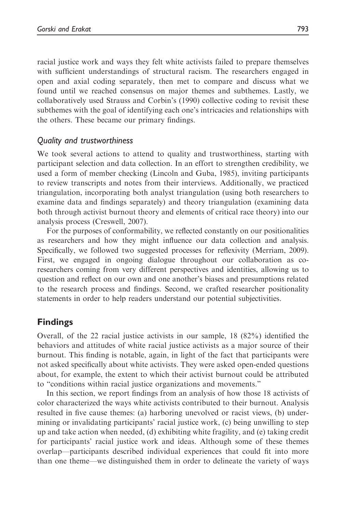racial justice work and ways they felt white activists failed to prepare themselves with sufficient understandings of structural racism. The researchers engaged in open and axial coding separately, then met to compare and discuss what we found until we reached consensus on major themes and subthemes. Lastly, we collaboratively used Strauss and Corbin's (1990) collective coding to revisit these subthemes with the goal of identifying each one's intricacies and relationships with the others. These became our primary findings.

### Quality and trustworthiness

We took several actions to attend to quality and trustworthiness, starting with participant selection and data collection. In an effort to strengthen credibility, we used a form of member checking (Lincoln and Guba, 1985), inviting participants to review transcripts and notes from their interviews. Additionally, we practiced triangulation, incorporating both analyst triangulation (using both researchers to examine data and findings separately) and theory triangulation (examining data both through activist burnout theory and elements of critical race theory) into our analysis process (Creswell, 2007).

For the purposes of conformability, we reflected constantly on our positionalities as researchers and how they might influence our data collection and analysis. Specifically, we followed two suggested processes for reflexivity (Merriam, 2009). First, we engaged in ongoing dialogue throughout our collaboration as coresearchers coming from very different perspectives and identities, allowing us to question and reflect on our own and one another's biases and presumptions related to the research process and findings. Second, we crafted researcher positionality statements in order to help readers understand our potential subjectivities.

## Findings

Overall, of the 22 racial justice activists in our sample, 18 (82%) identified the behaviors and attitudes of white racial justice activists as a major source of their burnout. This finding is notable, again, in light of the fact that participants were not asked specifically about white activists. They were asked open-ended questions about, for example, the extent to which their activist burnout could be attributed to "conditions within racial justice organizations and movements."

In this section, we report findings from an analysis of how those 18 activists of color characterized the ways white activists contributed to their burnout. Analysis resulted in five cause themes: (a) harboring unevolved or racist views, (b) undermining or invalidating participants' racial justice work, (c) being unwilling to step up and take action when needed, (d) exhibiting white fragility, and (e) taking credit for participants' racial justice work and ideas. Although some of these themes overlap—participants described individual experiences that could fit into more than one theme—we distinguished them in order to delineate the variety of ways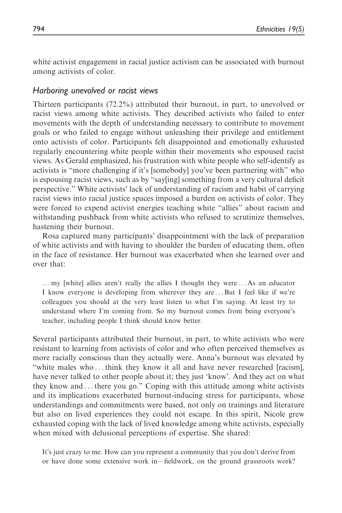white activist engagement in racial justice activism can be associated with burnout among activists of color.

### Harboring unevolved or racist views

Thirteen participants (72.2%) attributed their burnout, in part, to unevolved or racist views among white activists. They described activists who failed to enter movements with the depth of understanding necessary to contribute to movement goals or who failed to engage without unleashing their privilege and entitlement onto activists of color. Participants felt disappointed and emotionally exhausted regularly encountering white people within their movements who espoused racist views. As Gerald emphasized, his frustration with white people who self-identify as activists is "more challenging if it's [somebody] you've been partnering with" who is espousing racist views, such as by "say[ing] something from a very cultural deficit perspective." White activists' lack of understanding of racism and habit of carrying racist views into racial justice spaces imposed a burden on activists of color. They were forced to expend activist energies teaching white "allies" about racism and withstanding pushback from white activists who refused to scrutinize themselves, hastening their burnout.

Rosa captured many participants' disappointment with the lack of preparation of white activists and with having to shoulder the burden of educating them, often in the face of resistance. Her burnout was exacerbated when she learned over and over that:

... my [white] allies aren't really the allies I thought they were ... As an educator I know everyone is developing from wherever they are ...But I feel like if we're colleagues you should at the very least listen to what I'm saying. At least try to understand where I'm coming from. So my burnout comes from being everyone's teacher, including people I think should know better.

Several participants attributed their burnout, in part, to white activists who were resistant to learning from activists of color and who often perceived themselves as more racially conscious than they actually were. Anna's burnout was elevated by "white males who ... think they know it all and have never researched [racism], have never talked to other people about it; they just 'know'. And they act on what they know and ... there you go." Coping with this attitude among white activists and its implications exacerbated burnout-inducing stress for participants, whose understandings and commitments were based, not only on trainings and literature but also on lived experiences they could not escape. In this spirit, Nicole grew exhausted coping with the lack of lived knowledge among white activists, especially when mixed with delusional perceptions of expertise. She shared:

It's just crazy to me. How can you represent a community that you don't derive from or have done some extensive work in—fieldwork, on the ground grassroots work?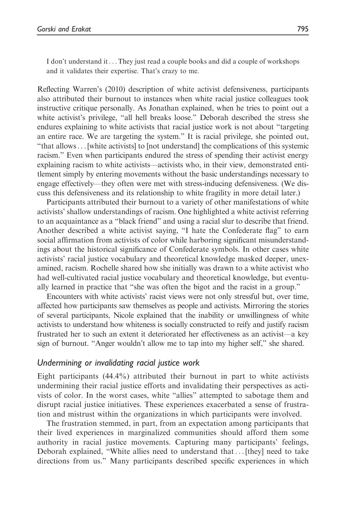I don't understand it...They just read a couple books and did a couple of workshops and it validates their expertise. That's crazy to me.

Reflecting Warren's (2010) description of white activist defensiveness, participants also attributed their burnout to instances when white racial justice colleagues took instructive critique personally. As Jonathan explained, when he tries to point out a white activist's privilege, "all hell breaks loose." Deborah described the stress she endures explaining to white activists that racial justice work is not about "targeting an entire race. We are targeting the system." It is racial privilege, she pointed out, "that allows... [white activists] to [not understand] the complications of this systemic racism." Even when participants endured the stress of spending their activist energy explaining racism to white activists—activists who, in their view, demonstrated entitlement simply by entering movements without the basic understandings necessary to engage effectively—they often were met with stress-inducing defensiveness. (We discuss this defensiveness and its relationship to white fragility in more detail later.)

Participants attributed their burnout to a variety of other manifestations of white activists' shallow understandings of racism. One highlighted a white activist referring to an acquaintance as a "black friend" and using a racial slur to describe that friend. Another described a white activist saying, "I hate the Confederate flag" to earn social affirmation from activists of color while harboring significant misunderstandings about the historical significance of Confederate symbols. In other cases white activists' racial justice vocabulary and theoretical knowledge masked deeper, unexamined, racism. Rochelle shared how she initially was drawn to a white activist who had well-cultivated racial justice vocabulary and theoretical knowledge, but eventually learned in practice that "she was often the bigot and the racist in a group."

Encounters with white activists' racist views were not only stressful but, over time, affected how participants saw themselves as people and activists. Mirroring the stories of several participants, Nicole explained that the inability or unwillingness of white activists to understand how whiteness is socially constructed to reify and justify racism frustrated her to such an extent it deteriorated her effectiveness as an activist—a key sign of burnout. "Anger wouldn't allow me to tap into my higher self," she shared.

#### Undermining or invalidating racial justice work

Eight participants (44.4%) attributed their burnout in part to white activists undermining their racial justice efforts and invalidating their perspectives as activists of color. In the worst cases, white "allies" attempted to sabotage them and disrupt racial justice initiatives. These experiences exacerbated a sense of frustration and mistrust within the organizations in which participants were involved.

The frustration stemmed, in part, from an expectation among participants that their lived experiences in marginalized communities should afford them some authority in racial justice movements. Capturing many participants' feelings, Deborah explained, "White allies need to understand that ... [they] need to take directions from us." Many participants described specific experiences in which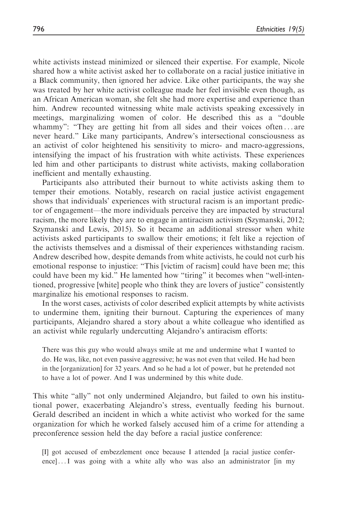white activists instead minimized or silenced their expertise. For example, Nicole shared how a white activist asked her to collaborate on a racial justice initiative in a Black community, then ignored her advice. Like other participants, the way she was treated by her white activist colleague made her feel invisible even though, as an African American woman, she felt she had more expertise and experience than him. Andrew recounted witnessing white male activists speaking excessively in meetings, marginalizing women of color. He described this as a "double whammy": "They are getting hit from all sides and their voices often ... are never heard." Like many participants, Andrew's intersectional consciousness as an activist of color heightened his sensitivity to micro- and macro-aggressions, intensifying the impact of his frustration with white activists. These experiences led him and other participants to distrust white activists, making collaboration inefficient and mentally exhausting.

Participants also attributed their burnout to white activists asking them to temper their emotions. Notably, research on racial justice activist engagement shows that individuals' experiences with structural racism is an important predictor of engagement—the more individuals perceive they are impacted by structural racism, the more likely they are to engage in antiracism activism (Szymanski, 2012; Szymanski and Lewis, 2015). So it became an additional stressor when white activists asked participants to swallow their emotions; it felt like a rejection of the activists themselves and a dismissal of their experiences withstanding racism. Andrew described how, despite demands from white activists, he could not curb his emotional response to injustice: "This [victim of racism] could have been me; this could have been my kid." He lamented how "tiring" it becomes when "well-intentioned, progressive [white] people who think they are lovers of justice" consistently marginalize his emotional responses to racism.

In the worst cases, activists of color described explicit attempts by white activists to undermine them, igniting their burnout. Capturing the experiences of many participants, Alejandro shared a story about a white colleague who identified as an activist while regularly undercutting Alejandro's antiracism efforts:

There was this guy who would always smile at me and undermine what I wanted to do. He was, like, not even passive aggressive; he was not even that veiled. He had been in the [organization] for 32 years. And so he had a lot of power, but he pretended not to have a lot of power. And I was undermined by this white dude.

This white "ally" not only undermined Alejandro, but failed to own his institutional power, exacerbating Alejandro's stress, eventually feeding his burnout. Gerald described an incident in which a white activist who worked for the same organization for which he worked falsely accused him of a crime for attending a preconference session held the day before a racial justice conference:

[I] got accused of embezzlement once because I attended [a racial justice conference] ...I was going with a white ally who was also an administrator [in my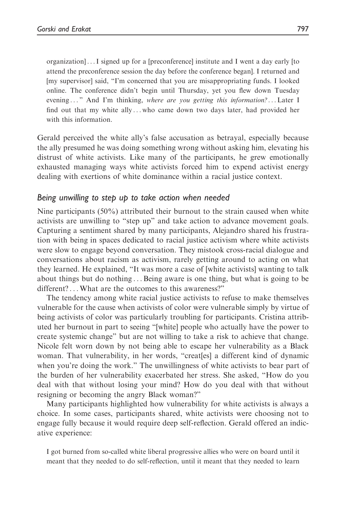organization] ...I signed up for a [preconference] institute and I went a day early [to attend the preconference session the day before the conference began]. I returned and [my supervisor] said, "I'm concerned that you are misappropriating funds. I looked online. The conference didn't begin until Thursday, yet you flew down Tuesday evening ... " And I'm thinking, where are you getting this information?... Later I find out that my white ally ... who came down two days later, had provided her with this information.

Gerald perceived the white ally's false accusation as betrayal, especially because the ally presumed he was doing something wrong without asking him, elevating his distrust of white activists. Like many of the participants, he grew emotionally exhausted managing ways white activists forced him to expend activist energy dealing with exertions of white dominance within a racial justice context.

### Being unwilling to step up to take action when needed

Nine participants (50%) attributed their burnout to the strain caused when white activists are unwilling to "step up" and take action to advance movement goals. Capturing a sentiment shared by many participants, Alejandro shared his frustration with being in spaces dedicated to racial justice activism where white activists were slow to engage beyond conversation. They mistook cross-racial dialogue and conversations about racism as activism, rarely getting around to acting on what they learned. He explained, "It was more a case of [white activists] wanting to talk about things but do nothing ... Being aware is one thing, but what is going to be different?... What are the outcomes to this awareness?"

The tendency among white racial justice activists to refuse to make themselves vulnerable for the cause when activists of color were vulnerable simply by virtue of being activists of color was particularly troubling for participants. Cristina attributed her burnout in part to seeing "[white] people who actually have the power to create systemic change" but are not willing to take a risk to achieve that change. Nicole felt worn down by not being able to escape her vulnerability as a Black woman. That vulnerability, in her words, "creat[es] a different kind of dynamic when you're doing the work." The unwillingness of white activists to bear part of the burden of her vulnerability exacerbated her stress. She asked, "How do you deal with that without losing your mind? How do you deal with that without resigning or becoming the angry Black woman?"

Many participants highlighted how vulnerability for white activists is always a choice. In some cases, participants shared, white activists were choosing not to engage fully because it would require deep self-reflection. Gerald offered an indicative experience:

I got burned from so-called white liberal progressive allies who were on board until it meant that they needed to do self-reflection, until it meant that they needed to learn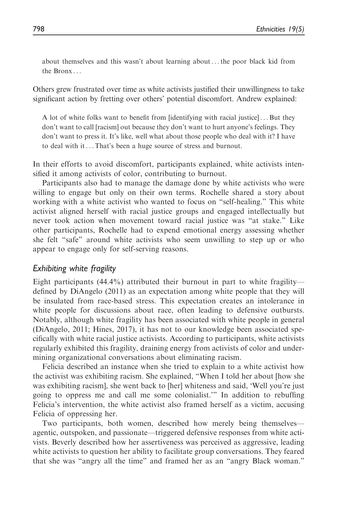about themselves and this wasn't about learning about... the poor black kid from the Bronx ...

Others grew frustrated over time as white activists justified their unwillingness to take significant action by fretting over others' potential discomfort. Andrew explained:

A lot of white folks want to benefit from [identifying with racial justice] ... But they don't want to call [racism] out because they don't want to hurt anyone's feelings. They don't want to press it. It's like, well what about those people who deal with it? I have to deal with it ... That's been a huge source of stress and burnout.

In their efforts to avoid discomfort, participants explained, white activists intensified it among activists of color, contributing to burnout.

Participants also had to manage the damage done by white activists who were willing to engage but only on their own terms. Rochelle shared a story about working with a white activist who wanted to focus on "self-healing." This white activist aligned herself with racial justice groups and engaged intellectually but never took action when movement toward racial justice was "at stake." Like other participants, Rochelle had to expend emotional energy assessing whether she felt "safe" around white activists who seem unwilling to step up or who appear to engage only for self-serving reasons.

### Exhibiting white fragility

Eight participants (44.4%) attributed their burnout in part to white fragility defined by DiAngelo (2011) as an expectation among white people that they will be insulated from race-based stress. This expectation creates an intolerance in white people for discussions about race, often leading to defensive outbursts. Notably, although white fragility has been associated with white people in general (DiAngelo, 2011; Hines, 2017), it has not to our knowledge been associated specifically with white racial justice activists. According to participants, white activists regularly exhibited this fragility, draining energy from activists of color and undermining organizational conversations about eliminating racism.

Felicia described an instance when she tried to explain to a white activist how the activist was exhibiting racism. She explained, "When I told her about [how she was exhibiting racism], she went back to [her] whiteness and said, 'Well you're just going to oppress me and call me some colonialist.'" In addition to rebuffing Felicia's intervention, the white activist also framed herself as a victim, accusing Felicia of oppressing her.

Two participants, both women, described how merely being themselves agentic, outspoken, and passionate—triggered defensive responses from white activists. Beverly described how her assertiveness was perceived as aggressive, leading white activists to question her ability to facilitate group conversations. They feared that she was "angry all the time" and framed her as an "angry Black woman."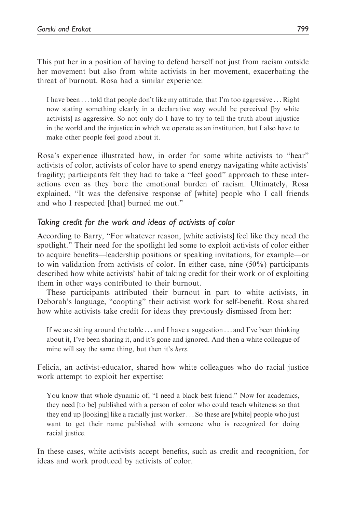This put her in a position of having to defend herself not just from racism outside her movement but also from white activists in her movement, exacerbating the threat of burnout. Rosa had a similar experience:

I have been ...told that people don't like my attitude, that I'm too aggressive ... Right now stating something clearly in a declarative way would be perceived [by white activists] as aggressive. So not only do I have to try to tell the truth about injustice in the world and the injustice in which we operate as an institution, but I also have to make other people feel good about it.

Rosa's experience illustrated how, in order for some white activists to "hear" activists of color, activists of color have to spend energy navigating white activists' fragility; participants felt they had to take a "feel good" approach to these interactions even as they bore the emotional burden of racism. Ultimately, Rosa explained, "It was the defensive response of [white] people who I call friends and who I respected [that] burned me out."

## Taking credit for the work and ideas of activists of color

According to Barry, "For whatever reason, [white activists] feel like they need the spotlight." Their need for the spotlight led some to exploit activists of color either to acquire benefits—leadership positions or speaking invitations, for example—or to win validation from activists of color. In either case, nine (50%) participants described how white activists' habit of taking credit for their work or of exploiting them in other ways contributed to their burnout.

These participants attributed their burnout in part to white activists, in Deborah's language, "coopting" their activist work for self-benefit. Rosa shared how white activists take credit for ideas they previously dismissed from her:

If we are sitting around the table ... and I have a suggestion ... and I've been thinking about it, I've been sharing it, and it's gone and ignored. And then a white colleague of mine will say the same thing, but then it's *hers*.

Felicia, an activist-educator, shared how white colleagues who do racial justice work attempt to exploit her expertise:

You know that whole dynamic of, "I need a black best friend." Now for academics, they need [to be] published with a person of color who could teach whiteness so that they end up [looking] like a racially just worker... So these are [white] people who just want to get their name published with someone who is recognized for doing racial justice.

In these cases, white activists accept benefits, such as credit and recognition, for ideas and work produced by activists of color.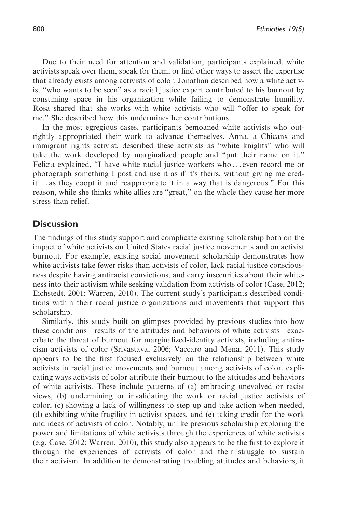Due to their need for attention and validation, participants explained, white activists speak over them, speak for them, or find other ways to assert the expertise that already exists among activists of color. Jonathan described how a white activist "who wants to be seen" as a racial justice expert contributed to his burnout by consuming space in his organization while failing to demonstrate humility. Rosa shared that she works with white activists who will "offer to speak for me." She described how this undermines her contributions.

In the most egregious cases, participants bemoaned white activists who outrightly appropriated their work to advance themselves. Anna, a Chicanx and immigrant rights activist, described these activists as "white knights" who will take the work developed by marginalized people and "put their name on it." Felicia explained, "I have white racial justice workers who ... even record me or photograph something I post and use it as if it's theirs, without giving me credit ... as they coopt it and reappropriate it in a way that is dangerous." For this reason, while she thinks white allies are "great," on the whole they cause her more stress than relief.

### **Discussion**

The findings of this study support and complicate existing scholarship both on the impact of white activists on United States racial justice movements and on activist burnout. For example, existing social movement scholarship demonstrates how white activists take fewer risks than activists of color, lack racial justice consciousness despite having antiracist convictions, and carry insecurities about their whiteness into their activism while seeking validation from activists of color (Case, 2012; Eichstedt, 2001; Warren, 2010). The current study's participants described conditions within their racial justice organizations and movements that support this scholarship.

Similarly, this study built on glimpses provided by previous studies into how these conditions—results of the attitudes and behaviors of white activists—exacerbate the threat of burnout for marginalized-identity activists, including antiracism activists of color (Srivastava, 2006; Vaccaro and Mena, 2011). This study appears to be the first focused exclusively on the relationship between white activists in racial justice movements and burnout among activists of color, explicating ways activists of color attribute their burnout to the attitudes and behaviors of white activists. These include patterns of (a) embracing unevolved or racist views, (b) undermining or invalidating the work or racial justice activists of color, (c) showing a lack of willingness to step up and take action when needed, (d) exhibiting white fragility in activist spaces, and (e) taking credit for the work and ideas of activists of color. Notably, unlike previous scholarship exploring the power and limitations of white activists through the experiences of white activists (e.g. Case, 2012; Warren, 2010), this study also appears to be the first to explore it through the experiences of activists of color and their struggle to sustain their activism. In addition to demonstrating troubling attitudes and behaviors, it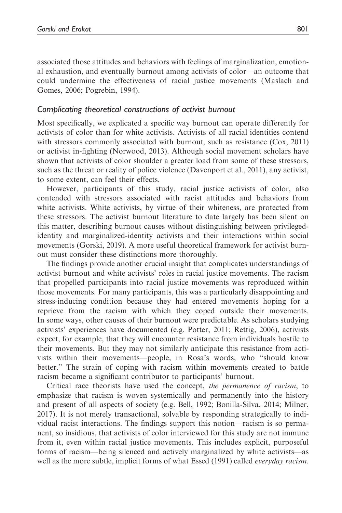associated those attitudes and behaviors with feelings of marginalization, emotional exhaustion, and eventually burnout among activists of color—an outcome that could undermine the effectiveness of racial justice movements (Maslach and Gomes, 2006; Pogrebin, 1994).

### Complicating theoretical constructions of activist burnout

Most specifically, we explicated a specific way burnout can operate differently for activists of color than for white activists. Activists of all racial identities contend with stressors commonly associated with burnout, such as resistance (Cox, 2011) or activist in-fighting (Norwood, 2013). Although social movement scholars have shown that activists of color shoulder a greater load from some of these stressors, such as the threat or reality of police violence (Davenport et al., 2011), any activist, to some extent, can feel their effects.

However, participants of this study, racial justice activists of color, also contended with stressors associated with racist attitudes and behaviors from white activists. White activists, by virtue of their whiteness, are protected from these stressors. The activist burnout literature to date largely has been silent on this matter, describing burnout causes without distinguishing between privilegedidentity and marginalized-identity activists and their interactions within social movements (Gorski, 2019). A more useful theoretical framework for activist burnout must consider these distinctions more thoroughly.

The findings provide another crucial insight that complicates understandings of activist burnout and white activists' roles in racial justice movements. The racism that propelled participants into racial justice movements was reproduced within those movements. For many participants, this was a particularly disappointing and stress-inducing condition because they had entered movements hoping for a reprieve from the racism with which they coped outside their movements. In some ways, other causes of their burnout were predictable. As scholars studying activists' experiences have documented (e.g. Potter, 2011; Rettig, 2006), activists expect, for example, that they will encounter resistance from individuals hostile to their movements. But they may not similarly anticipate this resistance from activists within their movements—people, in Rosa's words, who "should know better." The strain of coping with racism within movements created to battle racism became a significant contributor to participants' burnout.

Critical race theorists have used the concept, the permanence of racism, to emphasize that racism is woven systemically and permanently into the history and present of all aspects of society (e.g. Bell, 1992; Bonilla-Silva, 2014; Milner, 2017). It is not merely transactional, solvable by responding strategically to individual racist interactions. The findings support this notion—racism is so permanent, so insidious, that activists of color interviewed for this study are not immune from it, even within racial justice movements. This includes explicit, purposeful forms of racism—being silenced and actively marginalized by white activists—as well as the more subtle, implicit forms of what Essed (1991) called *everyday racism*.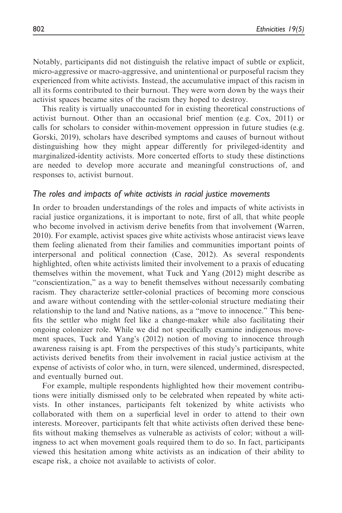Notably, participants did not distinguish the relative impact of subtle or explicit, micro-aggressive or macro-aggressive, and unintentional or purposeful racism they experienced from white activists. Instead, the accumulative impact of this racism in all its forms contributed to their burnout. They were worn down by the ways their activist spaces became sites of the racism they hoped to destroy.

This reality is virtually unaccounted for in existing theoretical constructions of activist burnout. Other than an occasional brief mention (e.g. Cox, 2011) or calls for scholars to consider within-movement oppression in future studies (e.g. Gorski, 2019), scholars have described symptoms and causes of burnout without distinguishing how they might appear differently for privileged-identity and marginalized-identity activists. More concerted efforts to study these distinctions are needed to develop more accurate and meaningful constructions of, and responses to, activist burnout.

#### The roles and impacts of white activists in racial justice movements

In order to broaden understandings of the roles and impacts of white activists in racial justice organizations, it is important to note, first of all, that white people who become involved in activism derive benefits from that involvement (Warren, 2010). For example, activist spaces give white activists whose antiracist views leave them feeling alienated from their families and communities important points of interpersonal and political connection (Case, 2012). As several respondents highlighted, often white activists limited their involvement to a praxis of educating themselves within the movement, what Tuck and Yang (2012) might describe as "conscientization," as a way to benefit themselves without necessarily combating racism. They characterize settler-colonial practices of becoming more conscious and aware without contending with the settler-colonial structure mediating their relationship to the land and Native nations, as a "move to innocence." This benefits the settler who might feel like a change-maker while also facilitating their ongoing colonizer role. While we did not specifically examine indigenous movement spaces, Tuck and Yang's (2012) notion of moving to innocence through awareness raising is apt. From the perspectives of this study's participants, white activists derived benefits from their involvement in racial justice activism at the expense of activists of color who, in turn, were silenced, undermined, disrespected, and eventually burned out.

For example, multiple respondents highlighted how their movement contributions were initially dismissed only to be celebrated when repeated by white activists. In other instances, participants felt tokenized by white activists who collaborated with them on a superficial level in order to attend to their own interests. Moreover, participants felt that white activists often derived these benefits without making themselves as vulnerable as activists of color; without a willingness to act when movement goals required them to do so. In fact, participants viewed this hesitation among white activists as an indication of their ability to escape risk, a choice not available to activists of color.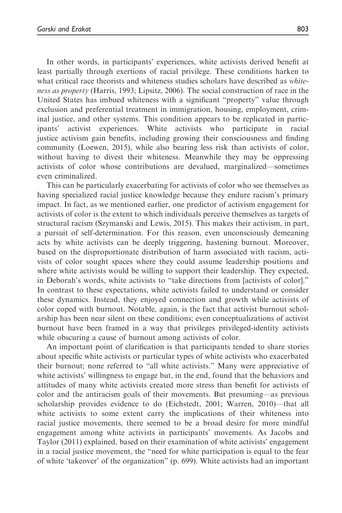In other words, in participants' experiences, white activists derived benefit at least partially through exertions of racial privilege. These conditions harken to what critical race theorists and whiteness studies scholars have described as *white*ness as property (Harris, 1993; Lipsitz, 2006). The social construction of race in the United States has imbued whiteness with a significant "property" value through exclusion and preferential treatment in immigration, housing, employment, criminal justice, and other systems. This condition appears to be replicated in participants' activist experiences. White activists who participate in racial justice activism gain benefits, including growing their consciousness and finding community (Loewen, 2015), while also bearing less risk than activists of color, without having to divest their whiteness. Meanwhile they may be oppressing activists of color whose contributions are devalued, marginalized—sometimes even criminalized.

This can be particularly exacerbating for activists of color who see themselves as having specialized racial justice knowledge because they endure racism's primary impact. In fact, as we mentioned earlier, one predictor of activism engagement for activists of color is the extent to which individuals perceive themselves as targets of structural racism (Szymanski and Lewis, 2015). This makes their activism, in part, a pursuit of self-determination. For this reason, even unconsciously demeaning acts by white activists can be deeply triggering, hastening burnout. Moreover, based on the disproportionate distribution of harm associated with racism, activists of color sought spaces where they could assume leadership positions and where white activists would be willing to support their leadership. They expected, in Deborah's words, white activists to "take directions from [activists of color]." In contrast to these expectations, white activists failed to understand or consider these dynamics. Instead, they enjoyed connection and growth while activists of color coped with burnout. Notable, again, is the fact that activist burnout scholarship has been near silent on these conditions; even conceptualizations of activist burnout have been framed in a way that privileges privileged-identity activists while obscuring a cause of burnout among activists of color.

An important point of clarification is that participants tended to share stories about specific white activists or particular types of white activists who exacerbated their burnout; none referred to "all white activists." Many were appreciative of white activists' willingness to engage but, in the end, found that the behaviors and attitudes of many white activists created more stress than benefit for activists of color and the antiracism goals of their movements. But presuming—as previous scholarship provides evidence to do (Eichstedt, 2001; Warren, 2010)—that all white activists to some extent carry the implications of their whiteness into racial justice movements, there seemed to be a broad desire for more mindful engagement among white activists in participants' movements. As Jacobs and Taylor (2011) explained, based on their examination of white activists' engagement in a racial justice movement, the "need for white participation is equal to the fear of white 'takeover' of the organization" (p. 699). White activists had an important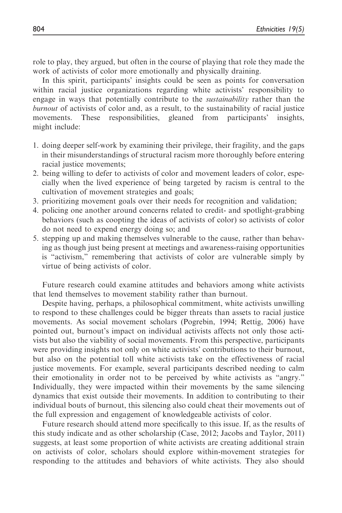role to play, they argued, but often in the course of playing that role they made the work of activists of color more emotionally and physically draining.

In this spirit, participants' insights could be seen as points for conversation within racial justice organizations regarding white activists' responsibility to engage in ways that potentially contribute to the *sustainability* rather than the burnout of activists of color and, as a result, to the sustainability of racial justice movements. These responsibilities, gleaned from participants' insights, might include:

- 1. doing deeper self-work by examining their privilege, their fragility, and the gaps in their misunderstandings of structural racism more thoroughly before entering racial justice movements:
- 2. being willing to defer to activists of color and movement leaders of color, especially when the lived experience of being targeted by racism is central to the cultivation of movement strategies and goals;
- 3. prioritizing movement goals over their needs for recognition and validation;
- 4. policing one another around concerns related to credit- and spotlight-grabbing behaviors (such as coopting the ideas of activists of color) so activists of color do not need to expend energy doing so; and
- 5. stepping up and making themselves vulnerable to the cause, rather than behaving as though just being present at meetings and awareness-raising opportunities is "activism," remembering that activists of color are vulnerable simply by virtue of being activists of color.

Future research could examine attitudes and behaviors among white activists that lend themselves to movement stability rather than burnout.

Despite having, perhaps, a philosophical commitment, white activists unwilling to respond to these challenges could be bigger threats than assets to racial justice movements. As social movement scholars (Pogrebin, 1994; Rettig, 2006) have pointed out, burnout's impact on individual activists affects not only those activists but also the viability of social movements. From this perspective, participants were providing insights not only on white activists' contributions to their burnout, but also on the potential toll white activists take on the effectiveness of racial justice movements. For example, several participants described needing to calm their emotionality in order not to be perceived by white activists as "angry." Individually, they were impacted within their movements by the same silencing dynamics that exist outside their movements. In addition to contributing to their individual bouts of burnout, this silencing also could cheat their movements out of the full expression and engagement of knowledgeable activists of color.

Future research should attend more specifically to this issue. If, as the results of this study indicate and as other scholarship (Case, 2012; Jacobs and Taylor, 2011) suggests, at least some proportion of white activists are creating additional strain on activists of color, scholars should explore within-movement strategies for responding to the attitudes and behaviors of white activists. They also should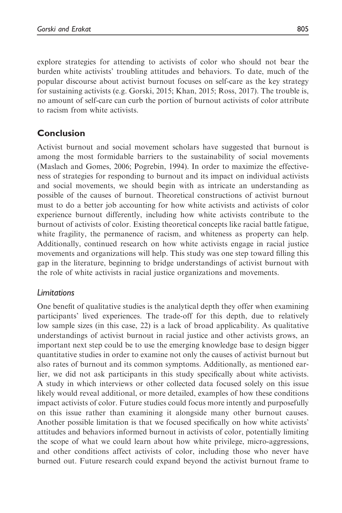explore strategies for attending to activists of color who should not bear the burden white activists' troubling attitudes and behaviors. To date, much of the popular discourse about activist burnout focuses on self-care as the key strategy for sustaining activists (e.g. Gorski, 2015; Khan, 2015; Ross, 2017). The trouble is, no amount of self-care can curb the portion of burnout activists of color attribute to racism from white activists.

# Conclusion

Activist burnout and social movement scholars have suggested that burnout is among the most formidable barriers to the sustainability of social movements (Maslach and Gomes, 2006; Pogrebin, 1994). In order to maximize the effectiveness of strategies for responding to burnout and its impact on individual activists and social movements, we should begin with as intricate an understanding as possible of the causes of burnout. Theoretical constructions of activist burnout must to do a better job accounting for how white activists and activists of color experience burnout differently, including how white activists contribute to the burnout of activists of color. Existing theoretical concepts like racial battle fatigue, white fragility, the permanence of racism, and whiteness as property can help. Additionally, continued research on how white activists engage in racial justice movements and organizations will help. This study was one step toward filling this gap in the literature, beginning to bridge understandings of activist burnout with the role of white activists in racial justice organizations and movements.

## Limitations

One benefit of qualitative studies is the analytical depth they offer when examining participants' lived experiences. The trade-off for this depth, due to relatively low sample sizes (in this case, 22) is a lack of broad applicability. As qualitative understandings of activist burnout in racial justice and other activists grows, an important next step could be to use the emerging knowledge base to design bigger quantitative studies in order to examine not only the causes of activist burnout but also rates of burnout and its common symptoms. Additionally, as mentioned earlier, we did not ask participants in this study specifically about white activists. A study in which interviews or other collected data focused solely on this issue likely would reveal additional, or more detailed, examples of how these conditions impact activists of color. Future studies could focus more intently and purposefully on this issue rather than examining it alongside many other burnout causes. Another possible limitation is that we focused specifically on how white activists' attitudes and behaviors informed burnout in activists of color, potentially limiting the scope of what we could learn about how white privilege, micro-aggressions, and other conditions affect activists of color, including those who never have burned out. Future research could expand beyond the activist burnout frame to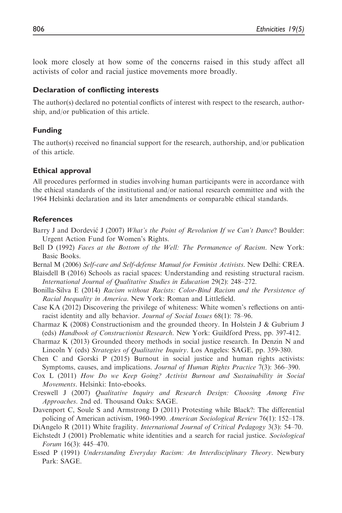look more closely at how some of the concerns raised in this study affect all activists of color and racial justice movements more broadly.

#### Declaration of conflicting interests

The author(s) declared no potential conflicts of interest with respect to the research, authorship, and/or publication of this article.

### Funding

The author(s) received no financial support for the research, authorship, and/or publication of this article.

#### Ethical approval

All procedures performed in studies involving human participants were in accordance with the ethical standards of the institutional and/or national research committee and with the 1964 Helsinki declaration and its later amendments or comparable ethical standards.

#### References

- Barry J and Dordević J (2007) What's the Point of Revolution If we Can't Dance? Boulder: Urgent Action Fund for Women's Rights.
- Bell D (1992) Faces at the Bottom of the Well: The Permanence of Racism. New York: Basic Books.
- Bernal M (2006) Self-care and Self-defense Manual for Feminist Activists. New Delhi: CREA.
- Blaisdell B (2016) Schools as racial spaces: Understanding and resisting structural racism. International Journal of Qualitative Studies in Education 29(2): 248–272.
- Bonilla-Silva E (2014) Racism without Racists: Color-Bind Racism and the Persistence of Racial Inequality in America. New York: Roman and Littlefield.
- Case KA (2012) Discovering the privilege of whiteness: White women's reflections on antiracist identity and ally behavior. Journal of Social Issues 68(1): 78–96.
- Charmaz K (2008) Constructionism and the grounded theory. In Holstein J & Gubrium J (eds) Handbook of Constructionist Research. New York: Guildford Press, pp. 397-412.
- Charmaz K (2013) Grounded theory methods in social justice research. In Denzin N and Lincoln Y (eds) Strategies of Qualitative Inquiry. Los Angeles: SAGE, pp. 359-380.
- Chen C and Gorski P (2015) Burnout in social justice and human rights activists: Symptoms, causes, and implications. Journal of Human Rights Practice 7(3): 366–390.
- Cox L (2011) How Do we Keep Going? Activist Burnout and Sustainability in Social Movements. Helsinki: Into-ebooks.
- Creswell J (2007) Qualitative Inquiry and Research Design: Choosing Among Five Approaches. 2nd ed. Thousand Oaks: SAGE.
- Davenport C, Soule S and Armstrong D (2011) Protesting while Black?: The differential policing of American activism, 1960-1990. American Sociological Review 76(1): 152–178.
- DiAngelo R (2011) White fragility. *International Journal of Critical Pedagogy* 3(3): 54–70.
- Eichstedt J (2001) Problematic white identities and a search for racial justice. Sociological Forum 16(3): 445–470.
- Essed P (1991) Understanding Everyday Racism: An Interdisciplinary Theory. Newbury Park: SAGE.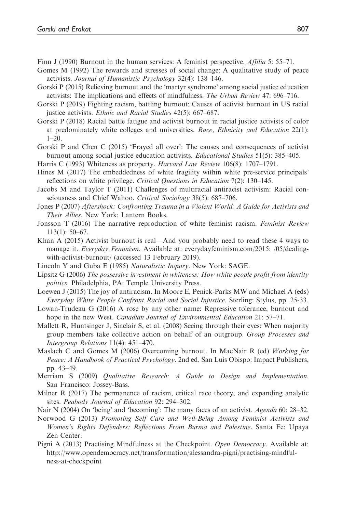Finn J (1990) Burnout in the human services: A feminist perspective. Affilia 5: 55–71.

- Gomes M (1992) The rewards and stresses of social change: A qualitative study of peace activists. Journal of Humanistic Psychology 32(4): 138–146.
- Gorski P (2015) Relieving burnout and the 'martyr syndrome' among social justice education activists: The implications and effects of mindfulness. The Urban Review 47: 696–716.
- Gorski P (2019) Fighting racism, battling burnout: Causes of activist burnout in US racial justice activists. *Ethnic and Racial Studies* 42(5): 667–687.
- Gorski P (2018) Racial battle fatigue and activist burnout in racial justice activists of color at predominately white colleges and universities. Race, Ethnicity and Education 22(1): 1–20.
- Gorski P and Chen C (2015) 'Frayed all over': The causes and consequences of activist burnout among social justice education activists. Educational Studies 51(5): 385–405.
- Harris C (1993) Whiteness as property. Harvard Law Review 106(8): 1707–1791.
- Hines M (2017) The embeddedness of white fragility within white pre-service principals' reflections on white privilege. Critical Questions in Education 7(2): 130–145.
- Jacobs M and Taylor T (2011) Challenges of multiracial antiracist activism: Racial consciousness and Chief Wahoo. Critical Sociology 38(5): 687–706.
- Jones P (2007) Aftershock: Confronting Trauma in a Violent World: A Guide for Activists and Their Allies. New York: Lantern Books.
- Jonsson T (2016) The narrative reproduction of white feminist racism. Feminist Review 113(1): 50–67.
- Khan A (2015) Activist burnout is real—And you probably need to read these 4 ways to manage it. Everyday Feminism. Available at: everydayfeminism.com/2015: /05/dealingwith-activist-burnout/ (accessed 13 February 2019).
- Lincoln Y and Guba E (1985) Naturalistic Inquiry. New York: SAGE.
- Lipsitz G (2006) The possessive investment in whiteness: How white people profit from identity politics. Philadelphia, PA: Temple University Press.
- Loewen J (2015) The joy of antiracism. In Moore E, Penick-Parks MW and Michael A (eds) Everyday White People Confront Racial and Social Injustice. Sterling: Stylus, pp. 25-33.
- Lowan-Trudeau G (2016) A rose by any other name: Repressive tolerance, burnout and hope in the new West. *Canadian Journal of Environmental Education* 21: 57–71.
- Mallett R, Huntsinger J, Sinclair S, et al. (2008) Seeing through their eyes: When majority group members take collective action on behalf of an outgroup. *Group Processes and* Intergroup Relations 11(4): 451–470.
- Maslach C and Gomes M (2006) Overcoming burnout. In MacNair R (ed) Working for Peace: A Handbook of Practical Psychology. 2nd ed. San Luis Obispo: Impact Publishers, pp. 43–49.
- Merriam S (2009) Qualitative Research: A Guide to Design and Implementation. San Francisco: Jossey-Bass.
- Milner R (2017) The permanence of racism, critical race theory, and expanding analytic sites. Peabody Journal of Education 92: 294–302.
- Nair N (2004) On 'being' and 'becoming': The many faces of an activist. Agenda 60: 28–32.
- Norwood G (2013) Promoting Self Care and Well-Being Among Feminist Activists and Women's Rights Defenders: Reflections From Burma and Palestine. Santa Fe: Upaya Zen Center.
- Pigni A (2013) Practising Mindfulness at the Checkpoint. Open Democracy. Available at: http://www.opendemocracy.net/transformation/alessandra-pigni/practising-mindfulness-at-checkpoint